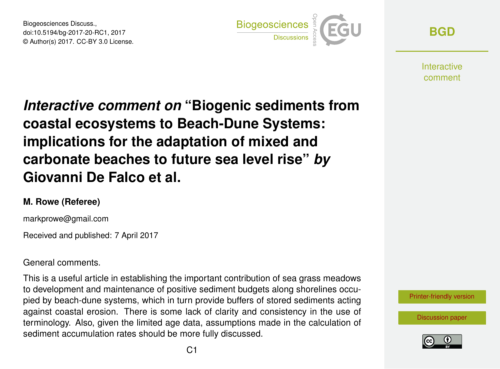Biogeosciences Discuss., doi:10.5194/bg-2017-20-RC1, 2017 © Author(s) 2017. CC-BY 3.0 License.



**[BGD](http://www.biogeosciences-discuss.net/)**

**Interactive** comment

*Interactive comment on* **"Biogenic sediments from coastal ecosystems to Beach-Dune Systems: implications for the adaptation of mixed and carbonate beaches to future sea level rise"** *by* **Giovanni De Falco et al.**

## **M. Rowe (Referee)**

markprowe@gmail.com

Received and published: 7 April 2017

## General comments.

This is a useful article in establishing the important contribution of sea grass meadows to development and maintenance of positive sediment budgets along shorelines occupied by beach-dune systems, which in turn provide buffers of stored sediments acting against coastal erosion. There is some lack of clarity and consistency in the use of terminology. Also, given the limited age data, assumptions made in the calculation of sediment accumulation rates should be more fully discussed.

[Printer-friendly version](http://www.biogeosciences-discuss.net/bg-2017-20/bg-2017-20-RC1-print.pdf)

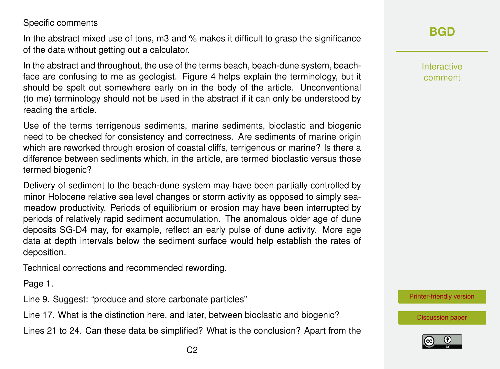## Specific comments

In the abstract mixed use of tons, m3 and % makes it difficult to grasp the significance of the data without getting out a calculator.

In the abstract and throughout, the use of the terms beach, beach-dune system, beachface are confusing to me as geologist. Figure 4 helps explain the terminology, but it should be spelt out somewhere early on in the body of the article. Unconventional (to me) terminology should not be used in the abstract if it can only be understood by reading the article.

Use of the terms terrigenous sediments, marine sediments, bioclastic and biogenic need to be checked for consistency and correctness. Are sediments of marine origin which are reworked through erosion of coastal cliffs, terrigenous or marine? Is there a difference between sediments which, in the article, are termed bioclastic versus those termed biogenic?

Delivery of sediment to the beach-dune system may have been partially controlled by minor Holocene relative sea level changes or storm activity as opposed to simply seameadow productivity. Periods of equilibrium or erosion may have been interrupted by periods of relatively rapid sediment accumulation. The anomalous older age of dune deposits SG-D4 may, for example, reflect an early pulse of dune activity. More age data at depth intervals below the sediment surface would help establish the rates of deposition.

Technical corrections and recommended rewording.

Page 1.

Line 9. Suggest: "produce and store carbonate particles"

Line 17. What is the distinction here, and later, between bioclastic and biogenic?

Lines 21 to 24. Can these data be simplified? What is the conclusion? Apart from the

Interactive comment

[Printer-friendly version](http://www.biogeosciences-discuss.net/bg-2017-20/bg-2017-20-RC1-print.pdf)

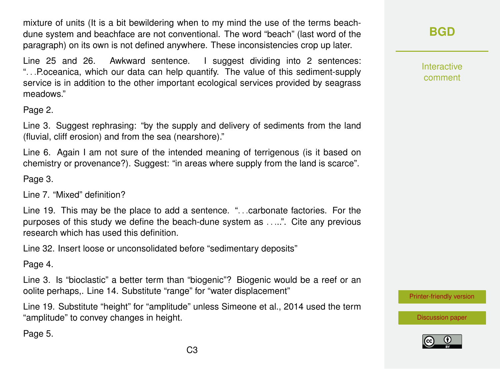mixture of units (It is a bit bewildering when to my mind the use of the terms beachdune system and beachface are not conventional. The word "beach" (last word of the paragraph) on its own is not defined anywhere. These inconsistencies crop up later.

Line 25 and 26. Awkward sentence. I suggest dividing into 2 sentences: ". . .P.oceanica, which our data can help quantify. The value of this sediment-supply service is in addition to the other important ecological services provided by seagrass meadows."

Page 2.

Line 3. Suggest rephrasing: "by the supply and delivery of sediments from the land (fluvial, cliff erosion) and from the sea (nearshore)."

Line 6. Again I am not sure of the intended meaning of terrigenous (is it based on chemistry or provenance?). Suggest: "in areas where supply from the land is scarce".

Page 3.

Line 7. "Mixed" definition?

Line 19. This may be the place to add a sentence. ". . .carbonate factories. For the purposes of this study we define the beach-dune system as . . ...". Cite any previous research which has used this definition.

Line 32. Insert loose or unconsolidated before "sedimentary deposits"

Page 4.

Line 3. Is "bioclastic" a better term than "biogenic"? Biogenic would be a reef or an oolite perhaps,. Line 14. Substitute "range" for "water displacement"

Line 19. Substitute "height" for "amplitude" unless Simeone et al., 2014 used the term "amplitude" to convey changes in height.

Page 5.

**[BGD](http://www.biogeosciences-discuss.net/)**

Interactive comment

[Printer-friendly version](http://www.biogeosciences-discuss.net/bg-2017-20/bg-2017-20-RC1-print.pdf)



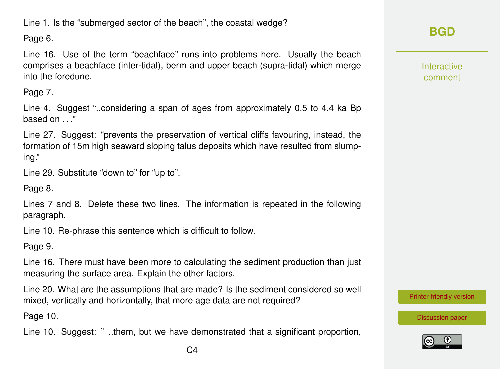Line 1. Is the "submerged sector of the beach", the coastal wedge?

Page 6.

Line 16. Use of the term "beachface" runs into problems here. Usually the beach comprises a beachface (inter-tidal), berm and upper beach (supra-tidal) which merge into the foredune.

Page 7.

Line 4. Suggest "..considering a span of ages from approximately 0.5 to 4.4 ka Bp based on . . ."

Line 27. Suggest: "prevents the preservation of vertical cliffs favouring, instead, the formation of 15m high seaward sloping talus deposits which have resulted from slumping."

Line 29. Substitute "down to" for "up to".

Page 8.

Lines 7 and 8. Delete these two lines. The information is repeated in the following paragraph.

Line 10. Re-phrase this sentence which is difficult to follow.

Page 9.

Line 16. There must have been more to calculating the sediment production than just measuring the surface area. Explain the other factors.

Line 20. What are the assumptions that are made? Is the sediment considered so well mixed, vertically and horizontally, that more age data are not required?

Page 10.

Line 10. Suggest: " ..them, but we have demonstrated that a significant proportion,

**[BGD](http://www.biogeosciences-discuss.net/)**

Interactive comment

[Printer-friendly version](http://www.biogeosciences-discuss.net/bg-2017-20/bg-2017-20-RC1-print.pdf)

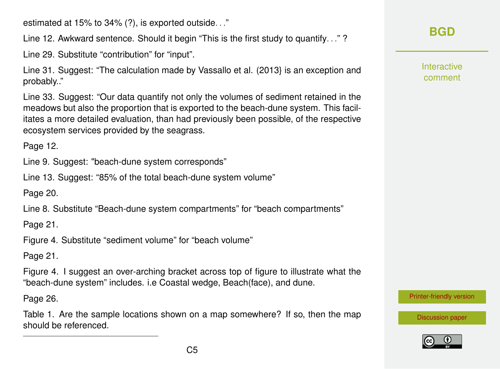estimated at 15% to 34% (?), is exported outside. . ."

Line 12. Awkward sentence. Should it begin "This is the first study to quantify. . ." ?

Line 29. Substitute "contribution" for "input".

Line 31. Suggest: "The calculation made by Vassallo et al. (2013} is an exception and probably.."

Line 33. Suggest: "Our data quantify not only the volumes of sediment retained in the meadows but also the proportion that is exported to the beach-dune system. This facilitates a more detailed evaluation, than had previously been possible, of the respective ecosystem services provided by the seagrass.

Page 12.

Line 9. Suggest: "beach-dune system corresponds"

Line 13. Suggest: "85% of the total beach-dune system volume"

Page 20.

Line 8. Substitute "Beach-dune system compartments" for "beach compartments"

Page 21.

Figure 4. Substitute "sediment volume" for "beach volume"

Page 21.

Figure 4. I suggest an over-arching bracket across top of figure to illustrate what the "beach-dune system" includes. i.e Coastal wedge, Beach(face), and dune.

Page 26.

Table 1. Are the sample locations shown on a map somewhere? If so, then the map should be referenced.

**[BGD](http://www.biogeosciences-discuss.net/)**

Interactive comment

[Printer-friendly version](http://www.biogeosciences-discuss.net/bg-2017-20/bg-2017-20-RC1-print.pdf)